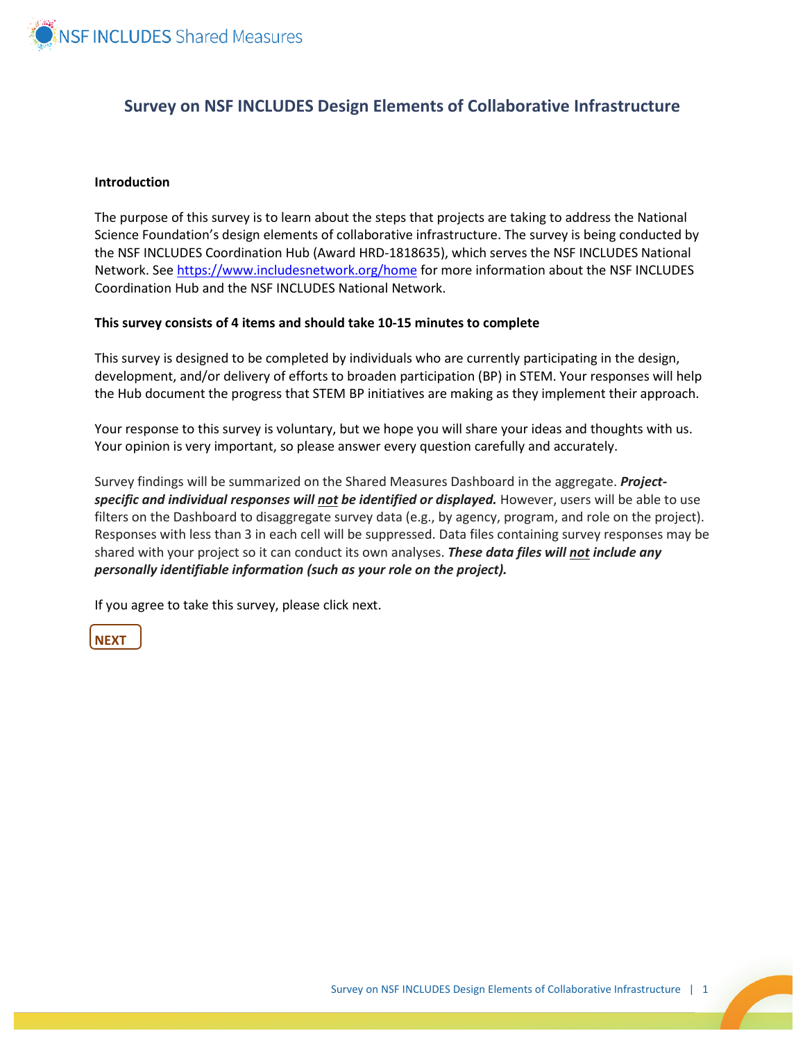

# **Survey on NSF INCLUDES Design Elements of Collaborative Infrastructure**

### **Introduction**

The purpose of this survey is to learn about the steps that projects are taking to address the National Science Foundation's design elements of collaborative infrastructure. The survey is being conducted by the NSF INCLUDES Coordination Hub (Award HRD-1818635), which serves the NSF INCLUDES National Network. See <https://www.includesnetwork.org/home> for more information about the NSF INCLUDES Coordination Hub and the NSF INCLUDES National Network.

### **This survey consists of 4 items and should take 10-15 minutes to complete**

This survey is designed to be completed by individuals who are currently participating in the design, development, and/or delivery of efforts to broaden participation (BP) in STEM. Your responses will help the Hub document the progress that STEM BP initiatives are making as they implement their approach.

Your response to this survey is voluntary, but we hope you will share your ideas and thoughts with us. Your opinion is very important, so please answer every question carefully and accurately.

Survey findings will be summarized on the Shared Measures Dashboard in the aggregate. *Projectspecific and individual responses will not be identified or displayed.* However, users will be able to use filters on the Dashboard to disaggregate survey data (e.g., by agency, program, and role on the project). Responses with less than 3 in each cell will be suppressed. Data files containing survey responses may be shared with your project so it can conduct its own analyses. *These data files will not include any personally identifiable information (such as your role on the project).*

If you agree to take this survey, please click next.

**NEXT**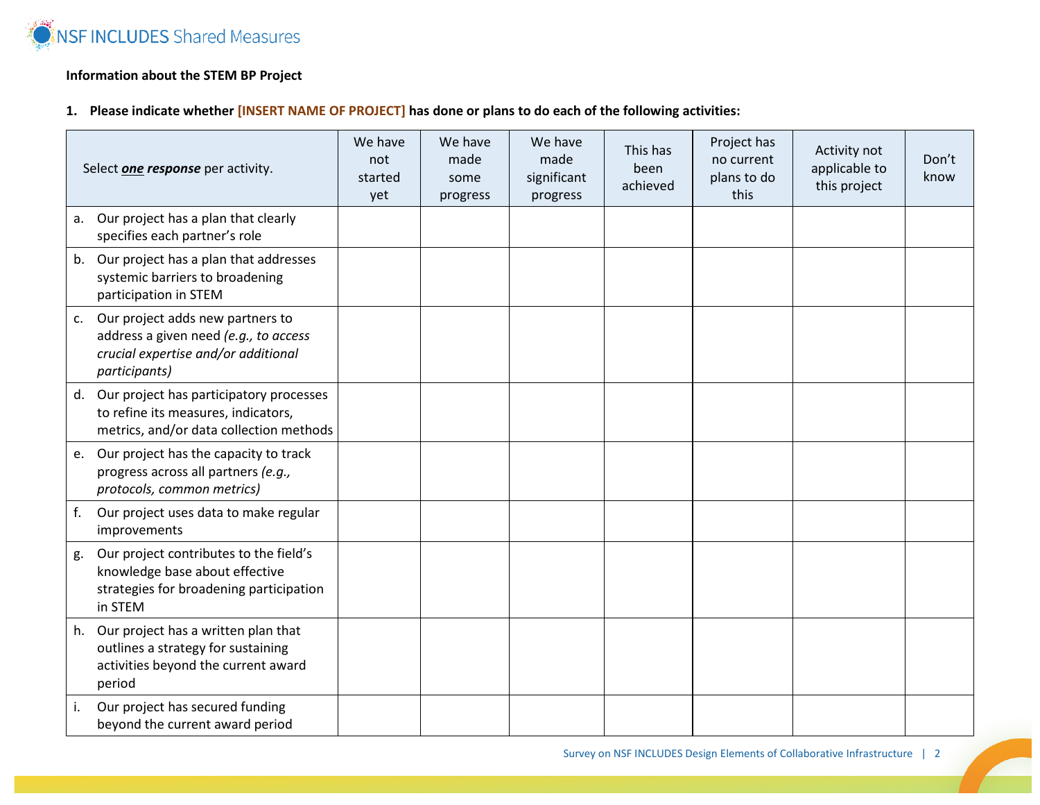

## **Information about the STEM BP Project**

## **1. Please indicate whether [INSERT NAME OF PROJECT] has done or plans to do each of the following activities:**

| Select one response per activity.                                                                                                       | We have<br>not<br>started<br>yet | We have<br>made<br>some<br>progress | We have<br>made<br>significant<br>progress | This has<br>been<br>achieved | Project has<br>no current<br>plans to do<br>this | Activity not<br>applicable to<br>this project | Don't<br>know |
|-----------------------------------------------------------------------------------------------------------------------------------------|----------------------------------|-------------------------------------|--------------------------------------------|------------------------------|--------------------------------------------------|-----------------------------------------------|---------------|
| Our project has a plan that clearly<br>а.<br>specifies each partner's role                                                              |                                  |                                     |                                            |                              |                                                  |                                               |               |
| b. Our project has a plan that addresses<br>systemic barriers to broadening<br>participation in STEM                                    |                                  |                                     |                                            |                              |                                                  |                                               |               |
| Our project adds new partners to<br>C.<br>address a given need (e.g., to access<br>crucial expertise and/or additional<br>participants) |                                  |                                     |                                            |                              |                                                  |                                               |               |
| Our project has participatory processes<br>d.<br>to refine its measures, indicators,<br>metrics, and/or data collection methods         |                                  |                                     |                                            |                              |                                                  |                                               |               |
| Our project has the capacity to track<br>e.<br>progress across all partners (e.g.,<br>protocols, common metrics)                        |                                  |                                     |                                            |                              |                                                  |                                               |               |
| f.<br>Our project uses data to make regular<br>improvements                                                                             |                                  |                                     |                                            |                              |                                                  |                                               |               |
| Our project contributes to the field's<br>g.<br>knowledge base about effective<br>strategies for broadening participation<br>in STEM    |                                  |                                     |                                            |                              |                                                  |                                               |               |
| Our project has a written plan that<br>h.<br>outlines a strategy for sustaining<br>activities beyond the current award<br>period        |                                  |                                     |                                            |                              |                                                  |                                               |               |
| Our project has secured funding<br>i.<br>beyond the current award period                                                                |                                  |                                     |                                            |                              |                                                  |                                               |               |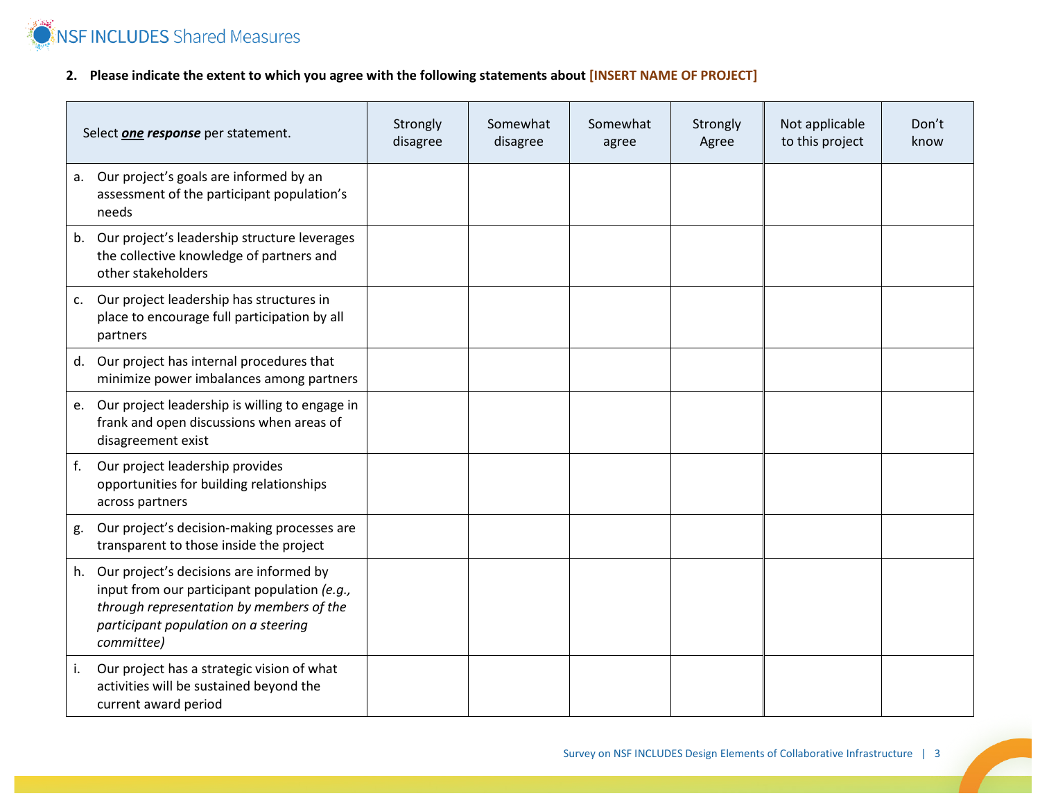NSFINCLUDES Shared Measures

**2. Please indicate the extent to which you agree with the following statements about [INSERT NAME OF PROJECT]**

| Select one response per statement.                                                                                                                                                              | Strongly<br>disagree | Somewhat<br>disagree | Somewhat<br>agree | Strongly<br>Agree | Not applicable<br>to this project | Don't<br>know |
|-------------------------------------------------------------------------------------------------------------------------------------------------------------------------------------------------|----------------------|----------------------|-------------------|-------------------|-----------------------------------|---------------|
| Our project's goals are informed by an<br>a.<br>assessment of the participant population's<br>needs                                                                                             |                      |                      |                   |                   |                                   |               |
| Our project's leadership structure leverages<br>b.<br>the collective knowledge of partners and<br>other stakeholders                                                                            |                      |                      |                   |                   |                                   |               |
| Our project leadership has structures in<br>c.<br>place to encourage full participation by all<br>partners                                                                                      |                      |                      |                   |                   |                                   |               |
| d. Our project has internal procedures that<br>minimize power imbalances among partners                                                                                                         |                      |                      |                   |                   |                                   |               |
| Our project leadership is willing to engage in<br>e.<br>frank and open discussions when areas of<br>disagreement exist                                                                          |                      |                      |                   |                   |                                   |               |
| Our project leadership provides<br>f.<br>opportunities for building relationships<br>across partners                                                                                            |                      |                      |                   |                   |                                   |               |
| Our project's decision-making processes are<br>g.<br>transparent to those inside the project                                                                                                    |                      |                      |                   |                   |                                   |               |
| Our project's decisions are informed by<br>h.<br>input from our participant population (e.g.,<br>through representation by members of the<br>participant population on a steering<br>committee) |                      |                      |                   |                   |                                   |               |
| Our project has a strategic vision of what<br>i.<br>activities will be sustained beyond the<br>current award period                                                                             |                      |                      |                   |                   |                                   |               |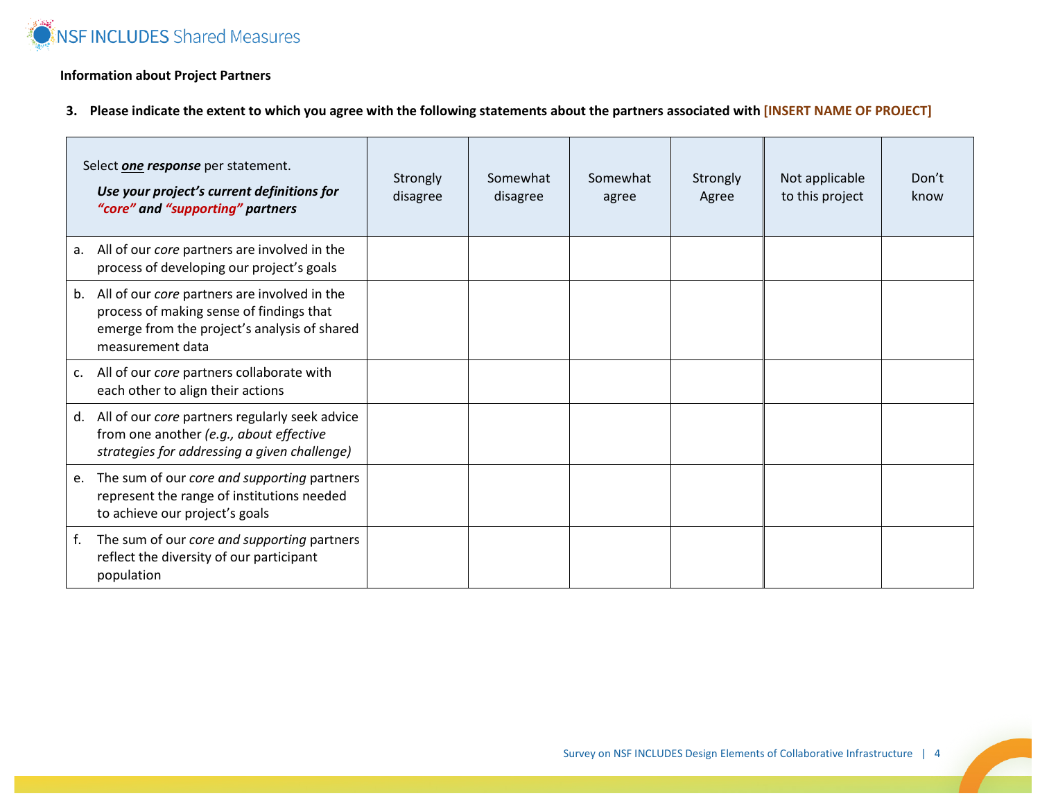NSFINCLUDES Shared Measures

## **Information about Project Partners**

**3. Please indicate the extent to which you agree with the following statements about the partners associated with [INSERT NAME OF PROJECT]**

|    | Select <i>one</i> response per statement.<br>Use your project's current definitions for<br>"core" and "supporting" partners                                  | Strongly<br>disagree | Somewhat<br>disagree | Somewhat<br>agree | Strongly<br>Agree | Not applicable<br>to this project | Don't<br>know |
|----|--------------------------------------------------------------------------------------------------------------------------------------------------------------|----------------------|----------------------|-------------------|-------------------|-----------------------------------|---------------|
| a. | All of our core partners are involved in the<br>process of developing our project's goals                                                                    |                      |                      |                   |                   |                                   |               |
| b. | All of our core partners are involved in the<br>process of making sense of findings that<br>emerge from the project's analysis of shared<br>measurement data |                      |                      |                   |                   |                                   |               |
| c. | All of our core partners collaborate with<br>each other to align their actions                                                                               |                      |                      |                   |                   |                                   |               |
| d. | All of our core partners regularly seek advice<br>from one another (e.g., about effective<br>strategies for addressing a given challenge)                    |                      |                      |                   |                   |                                   |               |
| e. | The sum of our core and supporting partners<br>represent the range of institutions needed<br>to achieve our project's goals                                  |                      |                      |                   |                   |                                   |               |
| f. | The sum of our core and supporting partners<br>reflect the diversity of our participant<br>population                                                        |                      |                      |                   |                   |                                   |               |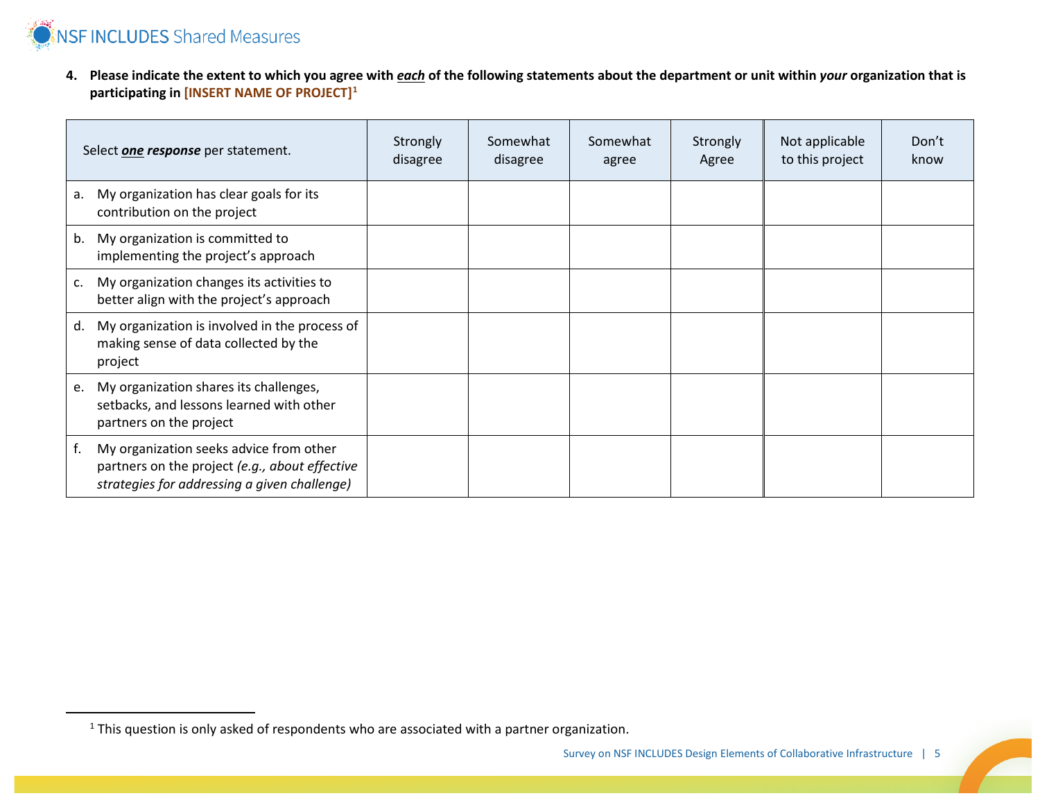

 $\overline{a}$ 

<span id="page-4-0"></span>**4. Please indicate the extent to which you agree with** *each* **of the following statements about the department or unit within** *your* **organization that is participating in [INSERT NAME OF PROJECT][1](#page-4-0)**

|    | Select one response per statement.                                                                                                        | Strongly<br>disagree | Somewhat<br>disagree | Somewhat<br>agree | Strongly<br>Agree | Not applicable<br>to this project | Don't<br>know |
|----|-------------------------------------------------------------------------------------------------------------------------------------------|----------------------|----------------------|-------------------|-------------------|-----------------------------------|---------------|
| a. | My organization has clear goals for its<br>contribution on the project                                                                    |                      |                      |                   |                   |                                   |               |
| b. | My organization is committed to<br>implementing the project's approach                                                                    |                      |                      |                   |                   |                                   |               |
| c. | My organization changes its activities to<br>better align with the project's approach                                                     |                      |                      |                   |                   |                                   |               |
| d. | My organization is involved in the process of<br>making sense of data collected by the<br>project                                         |                      |                      |                   |                   |                                   |               |
| e. | My organization shares its challenges,<br>setbacks, and lessons learned with other<br>partners on the project                             |                      |                      |                   |                   |                                   |               |
| f. | My organization seeks advice from other<br>partners on the project (e.g., about effective<br>strategies for addressing a given challenge) |                      |                      |                   |                   |                                   |               |

 $1$  This question is only asked of respondents who are associated with a partner organization.